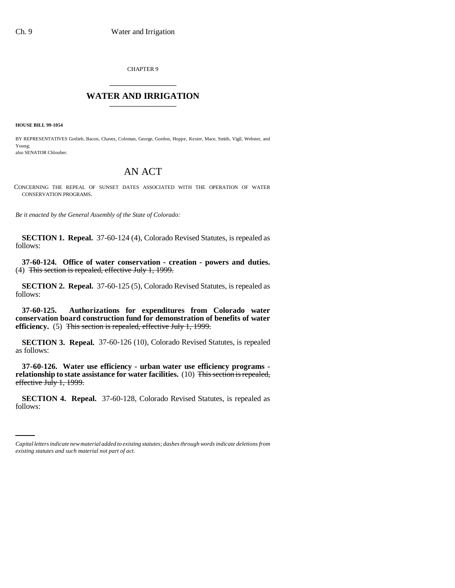CHAPTER 9 \_\_\_\_\_\_\_\_\_\_\_\_\_\_\_

## **WATER AND IRRIGATION** \_\_\_\_\_\_\_\_\_\_\_\_\_\_\_

**HOUSE BILL 99-1054** 

BY REPRESENTATIVES Gotlieb, Bacon, Chavez, Coleman, George, Gordon, Hoppe, Kester, Mace, Smith, Vigil, Webster, and Young;

also SENATOR Chlouber.

## AN ACT

CONCERNING THE REPEAL OF SUNSET DATES ASSOCIATED WITH THE OPERATION OF WATER CONSERVATION PROGRAMS.

*Be it enacted by the General Assembly of the State of Colorado:*

**SECTION 1. Repeal.** 37-60-124 (4), Colorado Revised Statutes, is repealed as follows:

**37-60-124. Office of water conservation - creation - powers and duties.** (4) This section is repealed, effective July 1, 1999.

**SECTION 2. Repeal.** 37-60-125 (5), Colorado Revised Statutes, is repealed as follows:

**37-60-125. Authorizations for expenditures from Colorado water conservation board construction fund for demonstration of benefits of water efficiency.** (5) This section is repealed, effective July 1, 1999.

**SECTION 3. Repeal.** 37-60-126 (10), Colorado Revised Statutes, is repealed as follows:

**37-60-126. Water use efficiency - urban water use efficiency programs relationship to state assistance for water facilities.** (10) This section is repealed, effective July 1, 1999.

 **SECTION 4. Repeal.** 37-60-128, Colorado Revised Statutes, is repealed as follows:

*Capital letters indicate new material added to existing statutes; dashes through words indicate deletions from existing statutes and such material not part of act.*